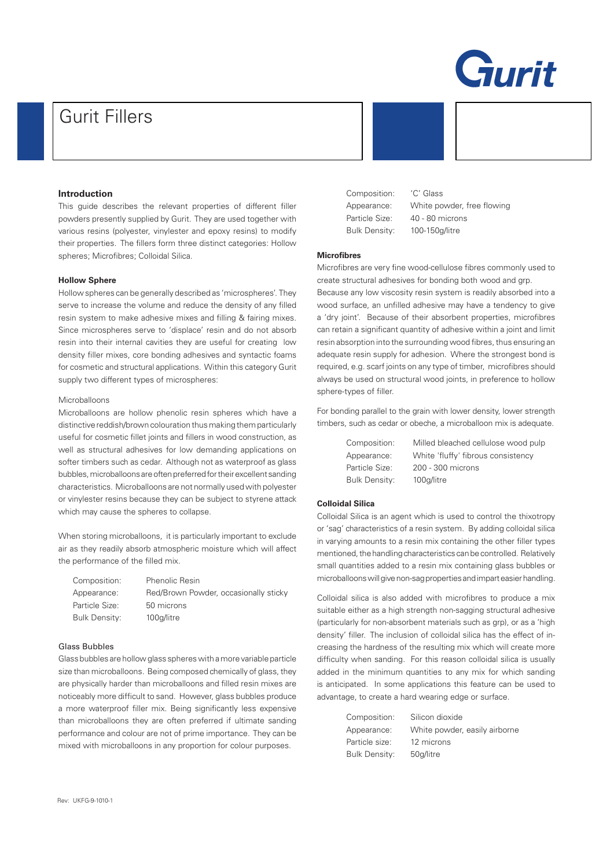

# Gurit Fillers

# **Introduction**

This guide describes the relevant properties of different filler powders presently supplied by Gurit. They are used together with various resins (polyester, vinylester and epoxy resins) to modify their properties. The fillers form three distinct categories: Hollow spheres; Microfibres; Colloidal Silica.

#### **Hollow Sphere**

Hollow spheres can be generally described as 'microspheres'. They serve to increase the volume and reduce the density of any filled resin system to make adhesive mixes and filling & fairing mixes. Since microspheres serve to 'displace' resin and do not absorb resin into their internal cavities they are useful for creating low density filler mixes, core bonding adhesives and syntactic foams for cosmetic and structural applications. Within this category Gurit supply two different types of microspheres:

# Microballoons

Microballoons are hollow phenolic resin spheres which have a distinctive reddish/brown colouration thus making them particularly useful for cosmetic fillet joints and fillers in wood construction, as well as structural adhesives for low demanding applications on softer timbers such as cedar. Although not as waterproof as glass bubbles, microballoons are often preferred for their excellent sanding characteristics. Microballoons are not normally used with polyester or vinylester resins because they can be subject to styrene attack which may cause the spheres to collapse.

When storing microballoons, it is particularly important to exclude air as they readily absorb atmospheric moisture which will affect the performance of the filled mix.

| Composition:   | <b>Phenolic Resin</b>                 |
|----------------|---------------------------------------|
| Appearance:    | Red/Brown Powder, occasionally sticky |
| Particle Size: | 50 microns                            |
| Bulk Density:  | 100a/litre                            |

#### Glass Bubbles

Glass bubbles are hollow glass spheres with a more variable particle size than microballoons. Being composed chemically of glass, they are physically harder than microballoons and filled resin mixes are noticeably more difficult to sand. However, glass bubbles produce a more waterproof filler mix. Being significantly less expensive than microballoons they are often preferred if ultimate sanding performance and colour are not of prime importance. They can be mixed with microballoons in any proportion for colour purposes.

Composition: 'C' Glass

Appearance: White powder, free flowing Particle Size: 40 - 80 microns Bulk Density: 100-150g/litre

# **Microfibres**

Microfibres are very fine wood-cellulose fibres commonly used to create structural adhesives for bonding both wood and grp.

Because any low viscosity resin system is readily absorbed into a wood surface, an unfilled adhesive may have a tendency to give a 'dry joint'. Because of their absorbent properties, microfibres can retain a significant quantity of adhesive within a joint and limit resin absorption into the surrounding wood fibres, thus ensuring an adequate resin supply for adhesion. Where the strongest bond is required, e.g. scarf joints on any type of timber, microfibres should always be used on structural wood joints, in preference to hollow sphere-types of filler.

For bonding parallel to the grain with lower density, lower strength timbers, such as cedar or obeche, a microballoon mix is adequate.

Bulk Density: 100g/litre

Composition: Milled bleached cellulose wood pulp Appearance: White 'fluffy' fibrous consistency Particle Size: 200 - 300 microns

# **Colloidal Silica**

Colloidal Silica is an agent which is used to control the thixotropy or 'sag' characteristics of a resin system. By adding colloidal silica in varying amounts to a resin mix containing the other filler types mentioned, the handling characteristics can be controlled. Relatively small quantities added to a resin mix containing glass bubbles or microballoons will give non-sag properties and impart easier handling.

Colloidal silica is also added with microfibres to produce a mix suitable either as a high strength non-sagging structural adhesive (particularly for non-absorbent materials such as grp), or as a 'high density' filler. The inclusion of colloidal silica has the effect of increasing the hardness of the resulting mix which will create more difficulty when sanding. For this reason colloidal silica is usually added in the minimum quantities to any mix for which sanding is anticipated. In some applications this feature can be used to advantage, to create a hard wearing edge or surface.

| Composition:   | Silicon dioxide               |
|----------------|-------------------------------|
| Appearance:    | White powder, easily airborne |
| Particle size: | 12 microns                    |
| Bulk Density:  | 50q/litre                     |